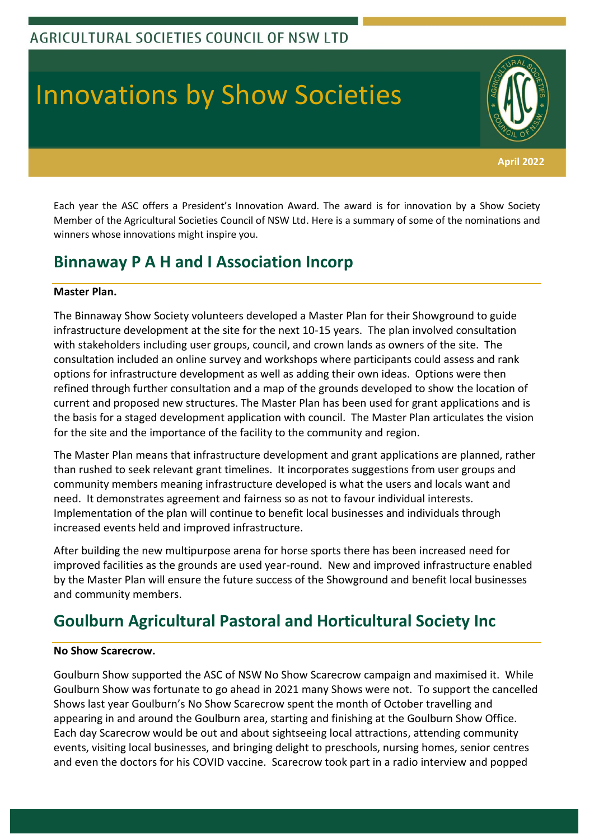# Innovations by Show Societies

Each year the ASC offers a President's Innovation Award. The award is for innovation by a Show Society Member of the Agricultural Societies Council of NSW Ltd. Here is a summary of some of the nominations and winners whose innovations might inspire you.

**April 2022**

### **Binnaway P A H and I Association Incorp**

#### **Master Plan.**

The Binnaway Show Society volunteers developed a Master Plan for their Showground to guide infrastructure development at the site for the next 10-15 years. The plan involved consultation with stakeholders including user groups, council, and crown lands as owners of the site. The consultation included an online survey and workshops where participants could assess and rank options for infrastructure development as well as adding their own ideas. Options were then refined through further consultation and a map of the grounds developed to show the location of current and proposed new structures. The Master Plan has been used for grant applications and is the basis for a staged development application with council. The Master Plan articulates the vision for the site and the importance of the facility to the community and region.

The Master Plan means that infrastructure development and grant applications are planned, rather than rushed to seek relevant grant timelines. It incorporates suggestions from user groups and community members meaning infrastructure developed is what the users and locals want and need. It demonstrates agreement and fairness so as not to favour individual interests. Implementation of the plan will continue to benefit local businesses and individuals through increased events held and improved infrastructure.

After building the new multipurpose arena for horse sports there has been increased need for improved facilities as the grounds are used year-round. New and improved infrastructure enabled by the Master Plan will ensure the future success of the Showground and benefit local businesses and community members.

# **Goulburn Agricultural Pastoral and Horticultural Society Inc**

#### **No Show Scarecrow.**

Goulburn Show supported the ASC of NSW No Show Scarecrow campaign and maximised it. While Goulburn Show was fortunate to go ahead in 2021 many Shows were not. To support the cancelled Shows last year Goulburn's No Show Scarecrow spent the month of October travelling and appearing in and around the Goulburn area, starting and finishing at the Goulburn Show Office. Each day Scarecrow would be out and about sightseeing local attractions, attending community events, visiting local businesses, and bringing delight to preschools, nursing homes, senior centres and even the doctors for his COVID vaccine. Scarecrow took part in a radio interview and popped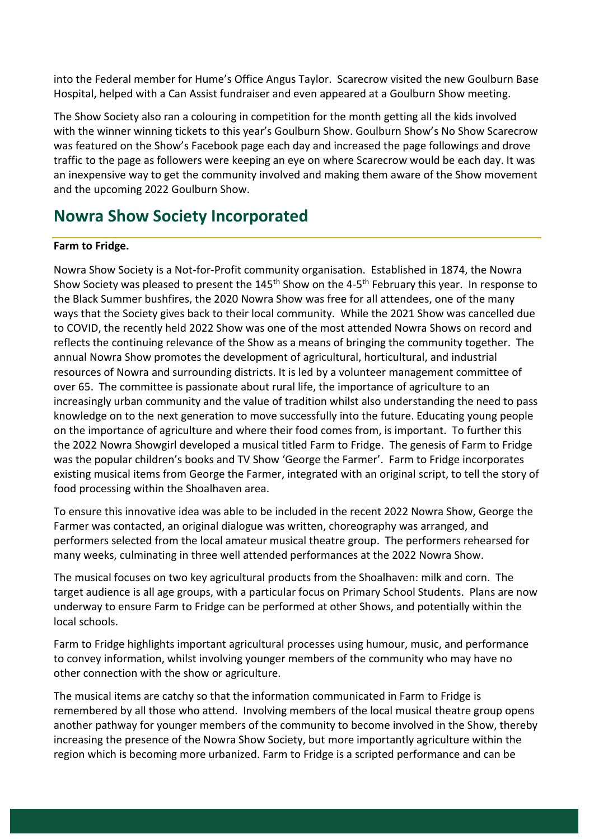into the Federal member for Hume's Office Angus Taylor. Scarecrow visited the new Goulburn Base Hospital, helped with a Can Assist fundraiser and even appeared at a Goulburn Show meeting.

The Show Society also ran a colouring in competition for the month getting all the kids involved with the winner winning tickets to this year's Goulburn Show. Goulburn Show's No Show Scarecrow was featured on the Show's Facebook page each day and increased the page followings and drove traffic to the page as followers were keeping an eye on where Scarecrow would be each day. It was an inexpensive way to get the community involved and making them aware of the Show movement and the upcoming 2022 Goulburn Show.

### **Nowra Show Society Incorporated**

### **Farm to Fridge.**

Nowra Show Society is a Not-for-Profit community organisation. Established in 1874, the Nowra Show Society was pleased to present the 145<sup>th</sup> Show on the 4-5<sup>th</sup> February this year. In response to the Black Summer bushfires, the 2020 Nowra Show was free for all attendees, one of the many ways that the Society gives back to their local community. While the 2021 Show was cancelled due to COVID, the recently held 2022 Show was one of the most attended Nowra Shows on record and reflects the continuing relevance of the Show as a means of bringing the community together. The annual Nowra Show promotes the development of agricultural, horticultural, and industrial resources of Nowra and surrounding districts. It is led by a volunteer management committee of over 65. The committee is passionate about rural life, the importance of agriculture to an increasingly urban community and the value of tradition whilst also understanding the need to pass knowledge on to the next generation to move successfully into the future. Educating young people on the importance of agriculture and where their food comes from, is important. To further this the 2022 Nowra Showgirl developed a musical titled Farm to Fridge. The genesis of Farm to Fridge was the popular children's books and TV Show 'George the Farmer'. Farm to Fridge incorporates existing musical items from George the Farmer, integrated with an original script, to tell the story of food processing within the Shoalhaven area.

To ensure this innovative idea was able to be included in the recent 2022 Nowra Show, George the Farmer was contacted, an original dialogue was written, choreography was arranged, and performers selected from the local amateur musical theatre group. The performers rehearsed for many weeks, culminating in three well attended performances at the 2022 Nowra Show.

The musical focuses on two key agricultural products from the Shoalhaven: milk and corn. The target audience is all age groups, with a particular focus on Primary School Students. Plans are now underway to ensure Farm to Fridge can be performed at other Shows, and potentially within the local schools.

Farm to Fridge highlights important agricultural processes using humour, music, and performance to convey information, whilst involving younger members of the community who may have no other connection with the show or agriculture.

The musical items are catchy so that the information communicated in Farm to Fridge is remembered by all those who attend. Involving members of the local musical theatre group opens another pathway for younger members of the community to become involved in the Show, thereby increasing the presence of the Nowra Show Society, but more importantly agriculture within the region which is becoming more urbanized. Farm to Fridge is a scripted performance and can be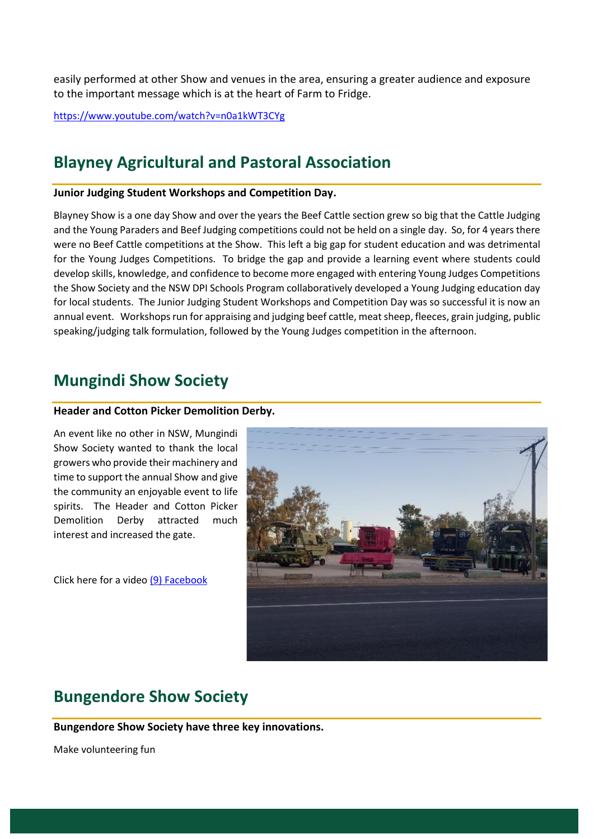easily performed at other Show and venues in the area, ensuring a greater audience and exposure to the important message which is at the heart of Farm to Fridge.

<https://www.youtube.com/watch?v=n0a1kWT3CYg>

### **Blayney Agricultural and Pastoral Association**

#### **Junior Judging Student Workshops and Competition Day.**

Blayney Show is a one day Show and over the years the Beef Cattle section grew so big that the Cattle Judging and the Young Paraders and Beef Judging competitions could not be held on a single day. So, for 4 years there were no Beef Cattle competitions at the Show. This left a big gap for student education and was detrimental for the Young Judges Competitions. To bridge the gap and provide a learning event where students could develop skills, knowledge, and confidence to become more engaged with entering Young Judges Competitions the Show Society and the NSW DPI Schools Program collaboratively developed a Young Judging education day for local students. The Junior Judging Student Workshops and Competition Day was so successful it is now an annual event. Workshops run for appraising and judging beef cattle, meat sheep, fleeces, grain judging, public speaking/judging talk formulation, followed by the Young Judges competition in the afternoon.

### **Mungindi Show Society**

#### **Header and Cotton Picker Demolition Derby.**

An event like no other in NSW, Mungindi Show Society wanted to thank the local growers who provide their machinery and time to support the annual Show and give the community an enjoyable event to life spirits. The Header and Cotton Picker Demolition Derby attracted much interest and increased the gate.

Click here for a video [\(9\) Facebook](https://www.facebook.com/300212303446253/videos/342293360015346)



### **Bungendore Show Society**

**Bungendore Show Society have three key innovations.**

Make volunteering fun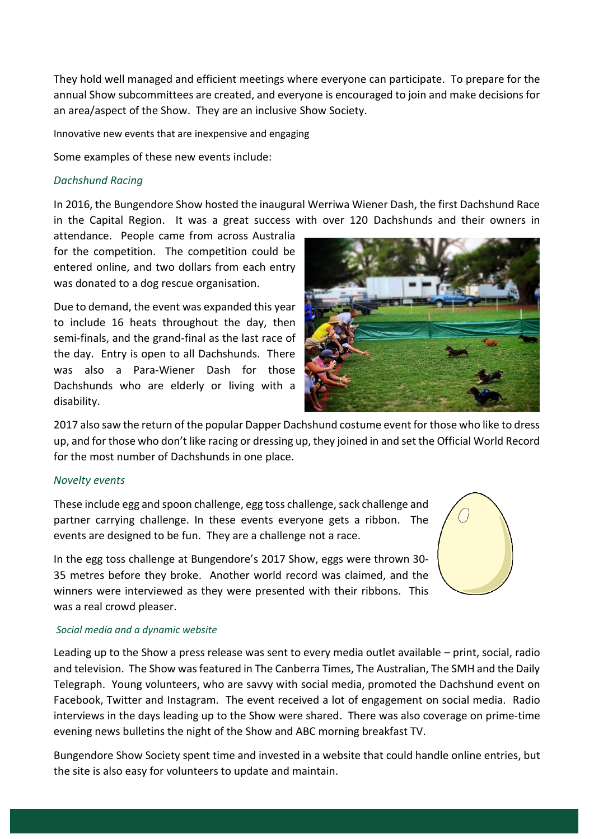They hold well managed and efficient meetings where everyone can participate. To prepare for the annual Show subcommittees are created, and everyone is encouraged to join and make decisions for an area/aspect of the Show. They are an inclusive Show Society.

Innovative new events that are inexpensive and engaging

Some examples of these new events include:

#### *Dachshund Racing*

In 2016, the Bungendore Show hosted the inaugural Werriwa Wiener Dash, the first Dachshund Race in the Capital Region. It was a great success with over 120 Dachshunds and their owners in

attendance. People came from across Australia for the competition. The competition could be entered online, and two dollars from each entry was donated to a dog rescue organisation.

Due to demand, the event was expanded this year to include 16 heats throughout the day, then semi-finals, and the grand-final as the last race of the day. Entry is open to all Dachshunds. There was also a Para-Wiener Dash for those Dachshunds who are elderly or living with a disability.



2017 also saw the return of the popular Dapper Dachshund costume event for those who like to dress up, and for those who don't like racing or dressing up, they joined in and set the Official World Record for the most number of Dachshunds in one place.

#### *Novelty events*

These include egg and spoon challenge, egg toss challenge, sack challenge and partner carrying challenge. In these events everyone gets a ribbon. The events are designed to be fun. They are a challenge not a race.

In the egg toss challenge at Bungendore's 2017 Show, eggs were thrown 30- 35 metres before they broke. Another world record was claimed, and the winners were interviewed as they were presented with their ribbons. This was a real crowd pleaser.



#### *Social media and a dynamic website*

Leading up to the Show a press release was sent to every media outlet available – print, social, radio and television. The Show was featured in The Canberra Times, The Australian, The SMH and the Daily Telegraph. Young volunteers, who are savvy with social media, promoted the Dachshund event on Facebook, Twitter and Instagram. The event received a lot of engagement on social media. Radio interviews in the days leading up to the Show were shared. There was also coverage on prime-time evening news bulletins the night of the Show and ABC morning breakfast TV.

Bungendore Show Society spent time and invested in a website that could handle online entries, but the site is also easy for volunteers to update and maintain.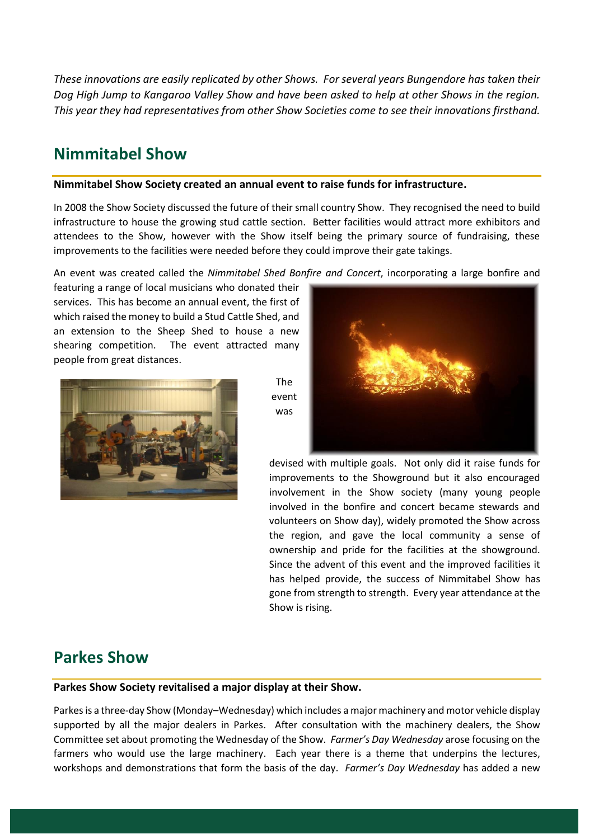*These innovations are easily replicated by other Shows. For several years Bungendore has taken their Dog High Jump to Kangaroo Valley Show and have been asked to help at other Shows in the region. This year they had representatives from other Show Societies come to see their innovations firsthand.*

### **Nimmitabel Show**

#### **Nimmitabel Show Society created an annual event to raise funds for infrastructure.**

In 2008 the Show Society discussed the future of their small country Show. They recognised the need to build infrastructure to house the growing stud cattle section. Better facilities would attract more exhibitors and attendees to the Show, however with the Show itself being the primary source of fundraising, these improvements to the facilities were needed before they could improve their gate takings.

An event was created called the *Nimmitabel Shed Bonfire and Concert*, incorporating a large bonfire and

featuring a range of local musicians who donated their services. This has become an annual event, the first of which raised the money to build a Stud Cattle Shed, and an extension to the Sheep Shed to house a new shearing competition. The event attracted many people from great distances.



The event was



devised with multiple goals. Not only did it raise funds for improvements to the Showground but it also encouraged involvement in the Show society (many young people involved in the bonfire and concert became stewards and volunteers on Show day), widely promoted the Show across the region, and gave the local community a sense of ownership and pride for the facilities at the showground. Since the advent of this event and the improved facilities it has helped provide, the success of Nimmitabel Show has gone from strength to strength. Every year attendance at the Show is rising.

### **Parkes Show**

#### **Parkes Show Society revitalised a major display at their Show.**

Parkes is a three-day Show (Monday–Wednesday) which includes a major machinery and motor vehicle display supported by all the major dealers in Parkes. After consultation with the machinery dealers, the Show Committee set about promoting the Wednesday of the Show. *Farmer's Day Wednesday* arose focusing on the farmers who would use the large machinery. Each year there is a theme that underpins the lectures, workshops and demonstrations that form the basis of the day. *Farmer's Day Wednesday* has added a new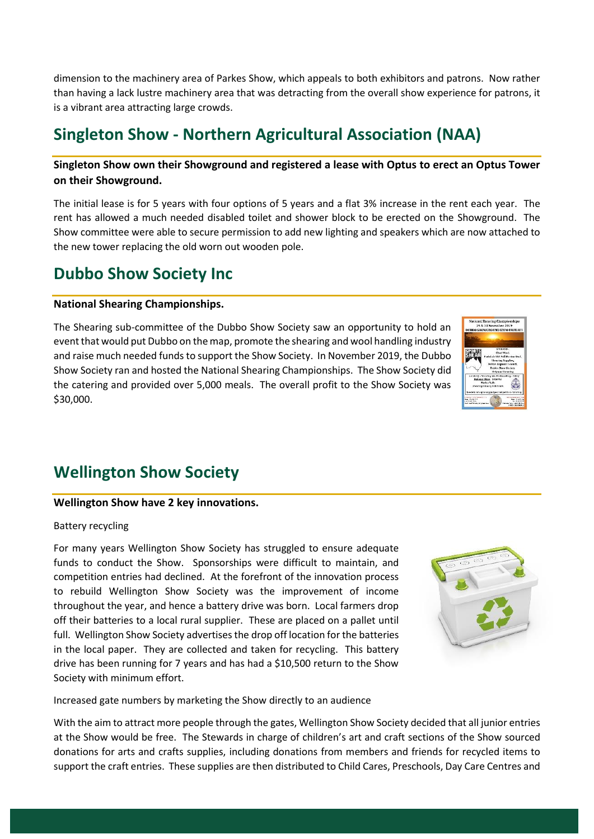dimension to the machinery area of Parkes Show, which appeals to both exhibitors and patrons. Now rather than having a lack lustre machinery area that was detracting from the overall show experience for patrons, it is a vibrant area attracting large crowds.

### **Singleton Show - Northern Agricultural Association (NAA)**

### **Singleton Show own their Showground and registered a lease with Optus to erect an Optus Tower on their Showground.**

The initial lease is for 5 years with four options of 5 years and a flat 3% increase in the rent each year. The rent has allowed a much needed disabled toilet and shower block to be erected on the Showground. The Show committee were able to secure permission to add new lighting and speakers which are now attached to the new tower replacing the old worn out wooden pole.

### **Dubbo Show Society Inc**

#### **National Shearing Championships.**

The Shearing sub-committee of the Dubbo Show Society saw an opportunity to hold an event that would put Dubbo on the map, promote the shearing and wool handling industry and raise much needed funds to support the Show Society. In November 2019, the Dubbo Show Society ran and hosted the National Shearing Championships. The Show Society did the catering and provided over 5,000 meals. The overall profit to the Show Society was \$30,000.



# **Wellington Show Society**

#### **Wellington Show have 2 key innovations.**

#### Battery recycling

For many years Wellington Show Society has struggled to ensure adequate funds to conduct the Show. Sponsorships were difficult to maintain, and competition entries had declined. At the forefront of the innovation process to rebuild Wellington Show Society was the improvement of income throughout the year, and hence a battery drive was born. Local farmers drop off their batteries to a local rural supplier. These are placed on a pallet until full. Wellington Show Society advertises the drop off location for the batteries in the local paper. They are collected and taken for recycling. This battery drive has been running for 7 years and has had a \$10,500 return to the Show Society with minimum effort.



Increased gate numbers by marketing the Show directly to an audience

With the aim to attract more people through the gates, Wellington Show Society decided that all junior entries at the Show would be free. The Stewards in charge of children's art and craft sections of the Show sourced donations for arts and crafts supplies, including donations from members and friends for recycled items to support the craft entries. These supplies are then distributed to Child Cares, Preschools, Day Care Centres and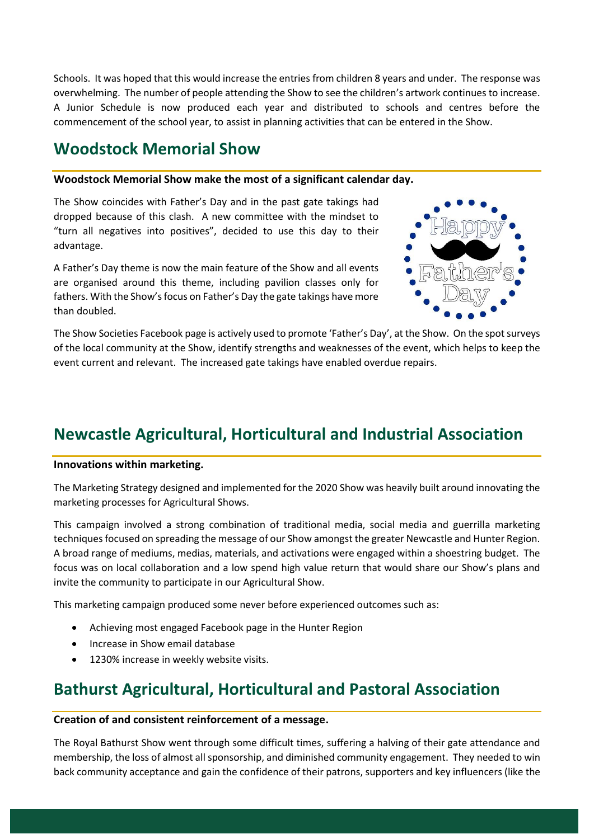Schools. It was hoped that this would increase the entries from children 8 years and under. The response was overwhelming. The number of people attending the Show to see the children's artwork continues to increase. A Junior Schedule is now produced each year and distributed to schools and centres before the commencement of the school year, to assist in planning activities that can be entered in the Show.

# **Woodstock Memorial Show**

#### **Woodstock Memorial Show make the most of a significant calendar day.**

The Show coincides with Father's Day and in the past gate takings had dropped because of this clash. A new committee with the mindset to "turn all negatives into positives", decided to use this day to their advantage.

A Father's Day theme is now the main feature of the Show and all events are organised around this theme, including pavilion classes only for fathers. With the Show's focus on Father's Day the gate takings have more than doubled.



The Show Societies Facebook page is actively used to promote 'Father's Day', at the Show. On the spot surveys of the local community at the Show, identify strengths and weaknesses of the event, which helps to keep the event current and relevant. The increased gate takings have enabled overdue repairs.

# **Newcastle Agricultural, Horticultural and Industrial Association**

#### **Innovations within marketing.**

The Marketing Strategy designed and implemented for the 2020 Show was heavily built around innovating the marketing processes for Agricultural Shows.

This campaign involved a strong combination of traditional media, social media and guerrilla marketing techniques focused on spreading the message of our Show amongst the greater Newcastle and Hunter Region. A broad range of mediums, medias, materials, and activations were engaged within a shoestring budget. The focus was on local collaboration and a low spend high value return that would share our Show's plans and invite the community to participate in our Agricultural Show.

This marketing campaign produced some never before experienced outcomes such as:

- Achieving most engaged Facebook page in the Hunter Region
- Increase in Show email database
- 1230% increase in weekly website visits.

### **Bathurst Agricultural, Horticultural and Pastoral Association**

#### **Creation of and consistent reinforcement of a message.**

The Royal Bathurst Show went through some difficult times, suffering a halving of their gate attendance and membership, the loss of almost all sponsorship, and diminished community engagement. They needed to win back community acceptance and gain the confidence of their patrons, supporters and key influencers (like the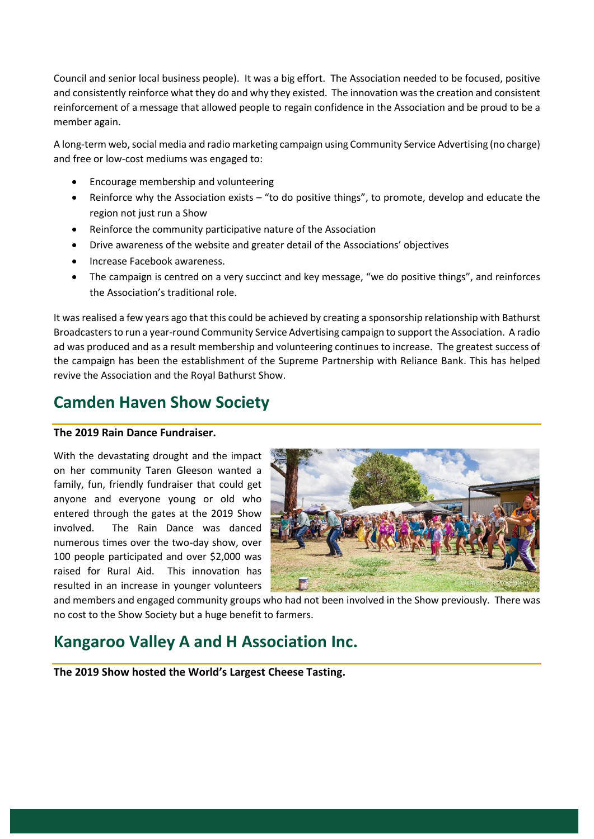Council and senior local business people). It was a big effort. The Association needed to be focused, positive and consistently reinforce what they do and why they existed. The innovation was the creation and consistent reinforcement of a message that allowed people to regain confidence in the Association and be proud to be a member again.

A long-term web, social media and radio marketing campaign using Community Service Advertising (no charge) and free or low-cost mediums was engaged to:

- Encourage membership and volunteering
- Reinforce why the Association exists "to do positive things", to promote, develop and educate the region not just run a Show
- Reinforce the community participative nature of the Association
- Drive awareness of the website and greater detail of the Associations' objectives
- Increase Facebook awareness.
- The campaign is centred on a very succinct and key message, "we do positive things", and reinforces the Association's traditional role.

It was realised a few years ago that this could be achieved by creating a sponsorship relationship with Bathurst Broadcasters to run a year-round Community Service Advertising campaign to support the Association. A radio ad was produced and as a result membership and volunteering continues to increase. The greatest success of the campaign has been the establishment of the Supreme Partnership with Reliance Bank. This has helped revive the Association and the Royal Bathurst Show.

# **Camden Haven Show Society**

#### **The 2019 Rain Dance Fundraiser.**

With the devastating drought and the impact on her community Taren Gleeson wanted a family, fun, friendly fundraiser that could get anyone and everyone young or old who entered through the gates at the 2019 Show involved. The Rain Dance was danced numerous times over the two-day show, over 100 people participated and over \$2,000 was raised for Rural Aid. This innovation has resulted in an increase in younger volunteers



and members and engaged community groups who had not been involved in the Show previously. There was no cost to the Show Society but a huge benefit to farmers.

### **Kangaroo Valley A and H Association Inc.**

**The 2019 Show hosted the World's Largest Cheese Tasting.**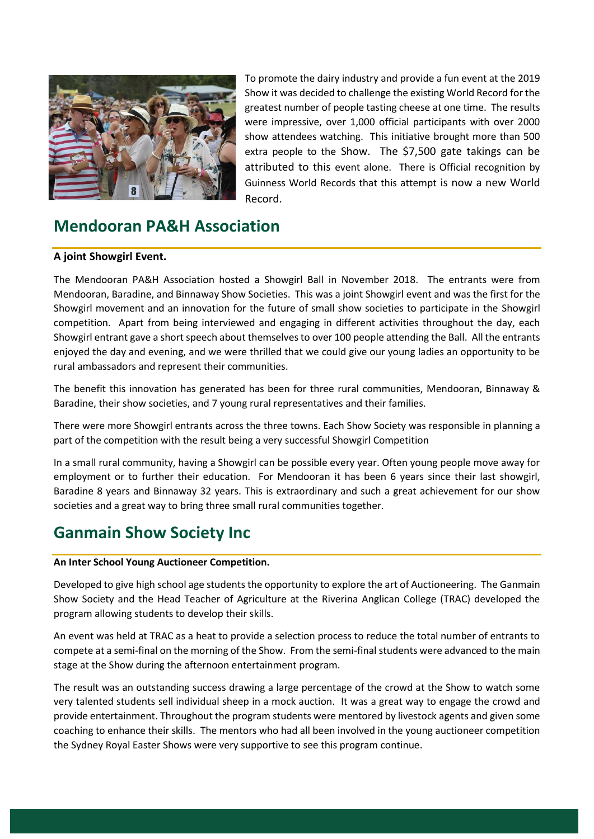

To promote the dairy industry and provide a fun event at the 2019 Show it was decided to challenge the existing World Record for the greatest number of people tasting cheese at one time. The results were impressive, over 1,000 official participants with over 2000 show attendees watching. This initiative brought more than 500 extra people to the Show. The \$7,500 gate takings can be attributed to this event alone. There is Official recognition by Guinness World Records that this attempt is now a new World Record.

# **Mendooran PA&H Association**

#### **A joint Showgirl Event.**

The Mendooran PA&H Association hosted a Showgirl Ball in November 2018. The entrants were from Mendooran, Baradine, and Binnaway Show Societies. This was a joint Showgirl event and was the first for the Showgirl movement and an innovation for the future of small show societies to participate in the Showgirl competition. Apart from being interviewed and engaging in different activities throughout the day, each Showgirl entrant gave a short speech about themselves to over 100 people attending the Ball. All the entrants enjoyed the day and evening, and we were thrilled that we could give our young ladies an opportunity to be rural ambassadors and represent their communities.

The benefit this innovation has generated has been for three rural communities, Mendooran, Binnaway & Baradine, their show societies, and 7 young rural representatives and their families.

There were more Showgirl entrants across the three towns. Each Show Society was responsible in planning a part of the competition with the result being a very successful Showgirl Competition

In a small rural community, having a Showgirl can be possible every year. Often young people move away for employment or to further their education. For Mendooran it has been 6 years since their last showgirl, Baradine 8 years and Binnaway 32 years. This is extraordinary and such a great achievement for our show societies and a great way to bring three small rural communities together.

### **Ganmain Show Society Inc**

#### **An Inter School Young Auctioneer Competition.**

Developed to give high school age students the opportunity to explore the art of Auctioneering. The Ganmain Show Society and the Head Teacher of Agriculture at the Riverina Anglican College (TRAC) developed the program allowing students to develop their skills.

An event was held at TRAC as a heat to provide a selection process to reduce the total number of entrants to compete at a semi-final on the morning of the Show. From the semi-final students were advanced to the main stage at the Show during the afternoon entertainment program.

The result was an outstanding success drawing a large percentage of the crowd at the Show to watch some very talented students sell individual sheep in a mock auction. It was a great way to engage the crowd and provide entertainment. Throughout the program students were mentored by livestock agents and given some coaching to enhance their skills. The mentors who had all been involved in the young auctioneer competition the Sydney Royal Easter Shows were very supportive to see this program continue.